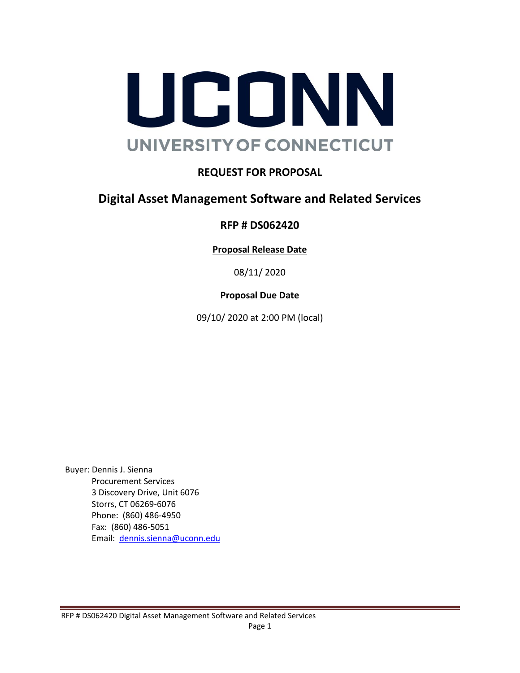

## **REQUEST FOR PROPOSAL**

## **Digital Asset Management Software and Related Services**

#### **RFP # DS062420**

**Proposal Release Date**

08/11/ 2020

#### **Proposal Due Date**

09/10/ 2020 at 2:00 PM (local)

Buyer: Dennis J. Sienna Procurement Services 3 Discovery Drive, Unit 6076 Storrs, CT 06269-6076 Phone: (860) 486-4950 Fax: (860) 486-5051 Email: [dennis.sienna@uconn.edu](mailto:dennis.sienna@uconn.edu)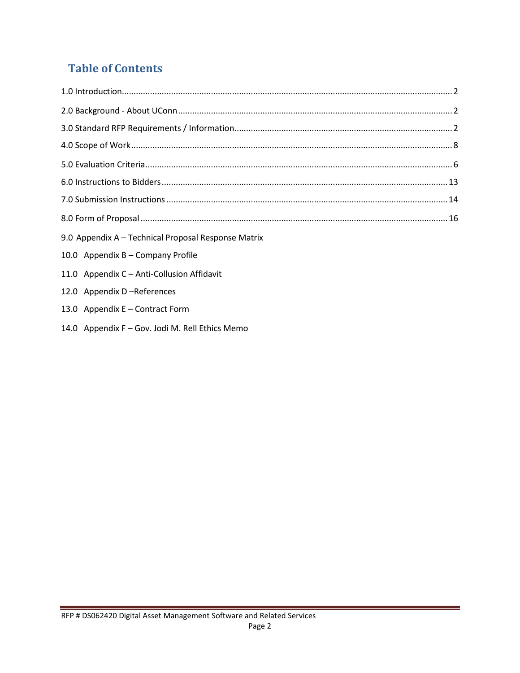# **Table of Contents**

| 9.0 Appendix A - Technical Proposal Response Matrix |
|-----------------------------------------------------|
| 10.0 Appendix B - Company Profile                   |
| 11.0 Appendix C - Anti-Collusion Affidavit          |
| 12.0 Appendix D-References                          |
| 13.0 Appendix E - Contract Form                     |

14.0 Appendix F – Gov. Jodi M. [Rell Ethics](#page-19-0) Memo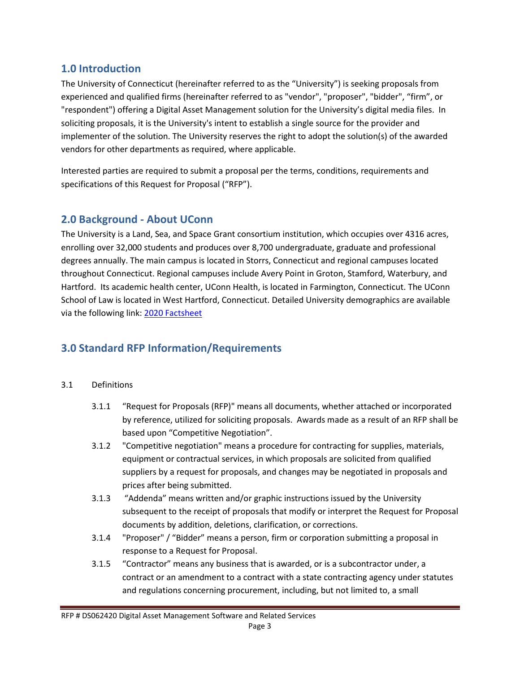#### **1.0 Introduction**

The University of Connecticut (hereinafter referred to as the "University") is seeking proposals from experienced and qualified firms (hereinafter referred to as "vendor", "proposer", "bidder", "firm", or "respondent") offering a Digital Asset Management solution for the University's digital media files. In soliciting proposals, it is the University's intent to establish a single source for the provider and implementer of the solution. The University reserves the right to adopt the solution(s) of the awarded vendors for other departments as required, where applicable.

Interested parties are required to submit a proposal per the terms, conditions, requirements and specifications of this Request for Proposal ("RFP").

#### **2.0 Background - About UConn**

The University is a Land, Sea, and Space Grant consortium institution, which occupies over 4316 acres, enrolling over 32,000 students and produces over 8,700 undergraduate, graduate and professional degrees annually. The main campus is located in Storrs, Connecticut and regional campuses located throughout Connecticut. Regional campuses include Avery Point in Groton, Stamford, Waterbury, and Hartford. Its academic health center, UConn Health, is located in Farmington, Connecticut. The UConn School of Law is located in West Hartford, Connecticut. Detailed University demographics are available via the following link: [2020 Factsheet](https://uconn.edu/content/uploads/2020/01/INS-008-Fact-Sheet-011620-FY20.pdf)

## **3.0 Standard RFP Information/Requirements**

#### 3.1 Definitions

- 3.1.1 "Request for Proposals (RFP)" means all documents, whether attached or incorporated by reference, utilized for soliciting proposals. Awards made as a result of an RFP shall be based upon "Competitive Negotiation".
- 3.1.2 "Competitive negotiation" means a procedure for contracting for supplies, materials, equipment or contractual services, in which proposals are solicited from qualified suppliers by a request for proposals, and changes may be negotiated in proposals and prices after being submitted.
- 3.1.3 "Addenda" means written and/or graphic instructions issued by the University subsequent to the receipt of proposals that modify or interpret the Request for Proposal documents by addition, deletions, clarification, or corrections.
- 3.1.4 "Proposer" / "Bidder" means a person, firm or corporation submitting a proposal in response to a Request for Proposal.
- 3.1.5 "Contractor" means any business that is awarded, or is a subcontractor under, a contract or an amendment to a contract with a state contracting agency under statutes and regulations concerning procurement, including, but not limited to, a small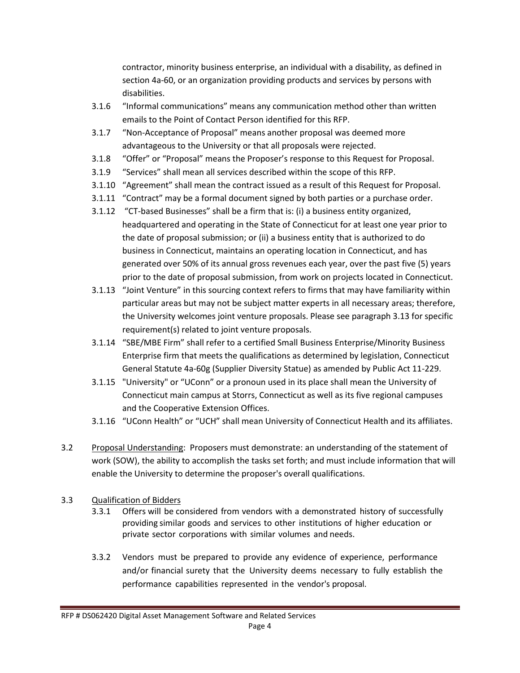contractor, minority business enterprise, an individual with a disability, as defined in section 4a-60, or an organization providing products and services by persons with disabilities.

- 3.1.6 "Informal communications" means any communication method other than written emails to the Point of Contact Person identified for this RFP.
- 3.1.7 "Non-Acceptance of Proposal" means another proposal was deemed more advantageous to the University or that all proposals were rejected.
- 3.1.8 "Offer" or "Proposal" means the Proposer's response to this Request for Proposal.
- 3.1.9 "Services" shall mean all services described within the scope of this RFP.
- 3.1.10 "Agreement" shall mean the contract issued as a result of this Request for Proposal.
- 3.1.11 "Contract" may be a formal document signed by both parties or a purchase order.
- 3.1.12 "CT-based Businesses" shall be a firm that is: (i) a business entity organized, headquartered and operating in the State of Connecticut for at least one year prior to the date of proposal submission; or (ii) a business entity that is authorized to do business in Connecticut, maintains an operating location in Connecticut, and has generated over 50% of its annual gross revenues each year, over the past five (5) years prior to the date of proposal submission, from work on projects located in Connecticut.
- 3.1.13 "Joint Venture" in this sourcing context refers to firms that may have familiarity within particular areas but may not be subject matter experts in all necessary areas; therefore, the University welcomes joint venture proposals. Please see paragraph 3.13 for specific requirement(s) related to joint venture proposals.
- 3.1.14 "SBE/MBE Firm" shall refer to a certified Small Business Enterprise/Minority Business Enterprise firm that meets the qualifications as determined by legislation, Connecticut General Statute 4a-60g (Supplier Diversity Statue) as amended by Public Act 11-229.
- 3.1.15 "University" or "UConn" or a pronoun used in its place shall mean the University of Connecticut main campus at Storrs, Connecticut as well as its five regional campuses and the Cooperative Extension Offices.
- 3.1.16 "UConn Health" or "UCH" shall mean University of Connecticut Health and its affiliates.
- 3.2 Proposal Understanding: Proposers must demonstrate: an understanding of the statement of work (SOW), the ability to accomplish the tasks set forth; and must include information that will enable the University to determine the proposer's overall qualifications.
- 3.3 Qualification of Bidders
	- 3.3.1 Offers will be considered from vendors with a demonstrated history of successfully providing similar goods and services to other institutions of higher education or private sector corporations with similar volumes and needs.
	- 3.3.2 Vendors must be prepared to provide any evidence of experience, performance and/or financial surety that the University deems necessary to fully establish the performance capabilities represented in the vendor's proposal.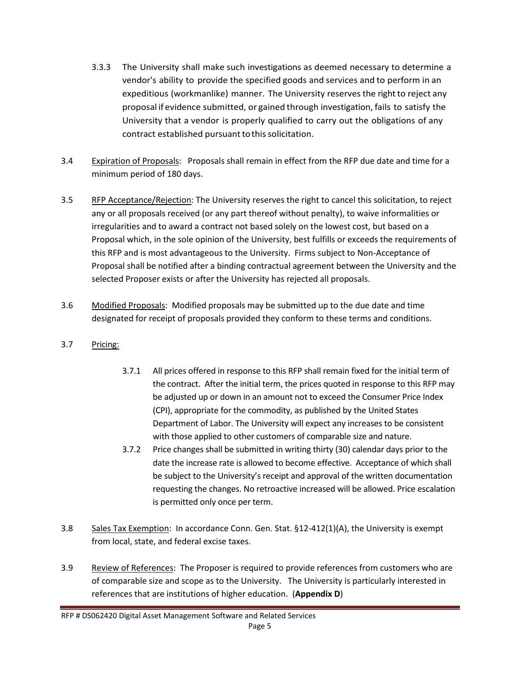- 3.3.3 The University shall make such investigations as deemed necessary to determine a vendor's ability to provide the specified goods and services and to perform in an expeditious (workmanlike) manner. The University reserves the right to reject any proposal if evidence submitted, or gained through investigation, fails to satisfy the University that a vendor is properly qualified to carry out the obligations of any contract established pursuant to this solicitation.
- 3.4 Expiration of Proposals: Proposals shall remain in effect from the RFP due date and time for a minimum period of 180 days.
- 3.5 RFP Acceptance/Rejection: The University reserves the right to cancel this solicitation, to reject any or all proposals received (or any part thereof without penalty), to waive informalities or irregularities and to award a contract not based solely on the lowest cost, but based on a Proposal which, in the sole opinion of the University, best fulfills or exceeds the requirements of this RFP and is most advantageous to the University. Firms subject to Non-Acceptance of Proposal shall be notified after a binding contractual agreement between the University and the selected Proposer exists or after the University has rejected all proposals.
- 3.6 Modified Proposals: Modified proposals may be submitted up to the due date and time designated for receipt of proposals provided they conform to these terms and conditions.
- 3.7 Pricing:
	- 3.7.1 All prices offered in response to this RFP shall remain fixed for the initial term of the contract. After the initial term, the prices quoted in response to this RFP may be adjusted up or down in an amount not to exceed the Consumer Price Index (CPI), appropriate for the commodity, as published by the United States Department of Labor. The University will expect any increases to be consistent with those applied to other customers of comparable size and nature.
	- 3.7.2 Price changes shall be submitted in writing thirty (30) calendar days prior to the date the increase rate is allowed to become effective. Acceptance of which shall be subject to the University's receipt and approval of the written documentation requesting the changes. No retroactive increased will be allowed. Price escalation is permitted only once per term.
- 3.8 Sales Tax Exemption: In accordance Conn. Gen. Stat. §12-412(1)(A), the University is exempt from local, state, and federal excise taxes.
- 3.9 Review of References: The Proposer is required to provide references from customers who are of comparable size and scope as to the University. The University is particularly interested in references that are institutions of higher education. (**Appendix D**)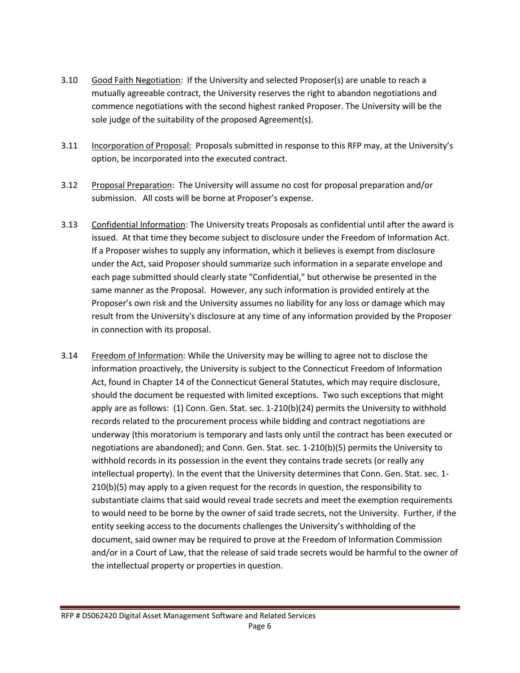- 3.10 Good Faith Negotiation: If the University and selected Proposer(s) are unable to reach a mutually agreeable contract, the University reserves the right to abandon negotiations and commence negotiations with the second highest ranked Proposer. The University will be the sole judge of the suitability of the proposed Agreement(s).
- 3.11 Incorporation of Proposal: Proposals submitted in response to this RFP may, at the University's option, be incorporated into the executed contract.
- 3.12 Proposal Preparation: The University will assume no cost for proposal preparation and/or submission. All costs will be borne at Proposer's expense.
- 3.13 Confidential Information: The University treats Proposals as confidential until after the award is issued. At that time they become subject to disclosure under the Freedom of Information Act. If a Proposer wishes to supply any information, which it believes is exempt from disclosure under the Act, said Proposer should summarize such information in a separate envelope and each page submitted should clearly state "Confidential," but otherwise be presented in the same manner as the Proposal. However, any such information is provided entirely at the Proposer's own risk and the University assumes no liability for any loss or damage which may result from the University's disclosure at any time of any information provided by the Proposer in connection with its proposal.
- 3.14 Freedom of Information: While the University may be willing to agree not to disclose the information proactively, the University is subject to the Connecticut Freedom of Information Act, found in Chapter 14 of the Connecticut General Statutes, which may require disclosure, should the document be requested with limited exceptions. Two such exceptions that might apply are as follows: (1) Conn. Gen. Stat. sec. 1-210(b)(24) permits the University to withhold records related to the procurement process while bidding and contract negotiations are underway (this moratorium is temporary and lasts only until the contract has been executed or negotiations are abandoned); and Conn. Gen. Stat. sec. 1-210(b)(5) permits the University to withhold records in its possession in the event they contains trade secrets (or really any intellectual property). In the event that the University determines that Conn. Gen. Stat. sec. 1- 210(b)(5) may apply to a given request for the records in question, the responsibility to substantiate claims that said would reveal trade secrets and meet the exemption requirements to would need to be borne by the owner of said trade secrets, not the University. Further, if the entity seeking access to the documents challenges the University's withholding of the document, said owner may be required to prove at the Freedom of Information Commission and/or in a Court of Law, that the release of said trade secrets would be harmful to the owner of the intellectual property or properties in question.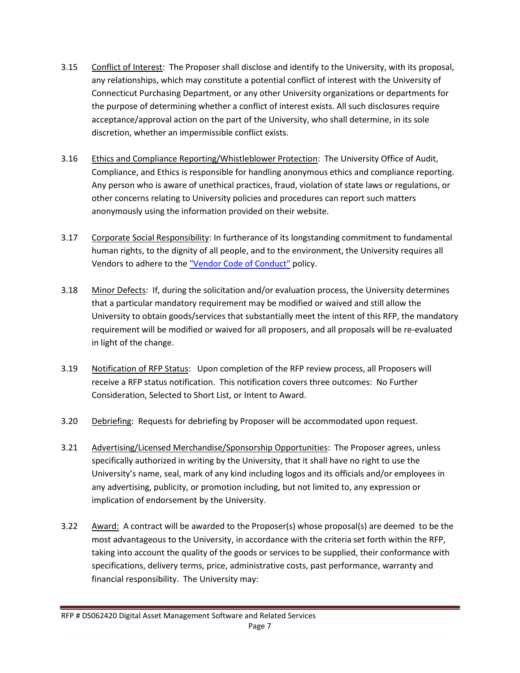- 3.15 Conflict of Interest: The Proposer shall disclose and identify to the University, with its proposal, any relationships, which may constitute a potential conflict of interest with the University of Connecticut Purchasing Department, or any other University organizations or departments for the purpose of determining whether a conflict of interest exists. All such disclosures require acceptance/approval action on the part of the University, who shall determine, in its sole discretion, whether an impermissible conflict exists.
- 3.16 Ethics and Compliance Reporting/Whistleblower Protection: The University Office of Audit, Compliance, and Ethics is responsible for handling anonymous ethics and compliance reporting. Any person who is aware of unethical practices, fraud, violation of state laws or regulations, or other concerns relating to University policies and procedures can report such matters anonymously using the information provided on their website.
- 3.17 Corporate Social Responsibility: In furtherance of its longstanding commitment to fundamental human rights, to the dignity of all people, and to the environment, the University requires all Vendors to adhere to the ["Vendor Code of Conduct"](http://policy.uconn.edu/?p=2718) policy.
- 3.18 Minor Defects: If, during the solicitation and/or evaluation process, the University determines that a particular mandatory requirement may be modified or waived and still allow the University to obtain goods/services that substantially meet the intent of this RFP, the mandatory requirement will be modified or waived for all proposers, and all proposals will be re-evaluated in light of the change.
- 3.19 Notification of RFP Status: Upon completion of the RFP review process, all Proposers will receive a RFP status notification. This notification covers three outcomes: No Further Consideration, Selected to Short List, or Intent to Award.
- 3.20 Debriefing: Requests for debriefing by Proposer will be accommodated upon request.
- 3.21 Advertising/Licensed Merchandise/Sponsorship Opportunities: The Proposer agrees, unless specifically authorized in writing by the University, that it shall have no right to use the University's name, seal, mark of any kind including logos and its officials and/or employees in any advertising, publicity, or promotion including, but not limited to, any expression or implication of endorsement by the University.
- 3.22 Award: A contract will be awarded to the Proposer(s) whose proposal(s) are deemed to be the most advantageous to the University, in accordance with the criteria set forth within the RFP, taking into account the quality of the goods or services to be supplied, their conformance with specifications, delivery terms, price, administrative costs, past performance, warranty and financial responsibility. The University may: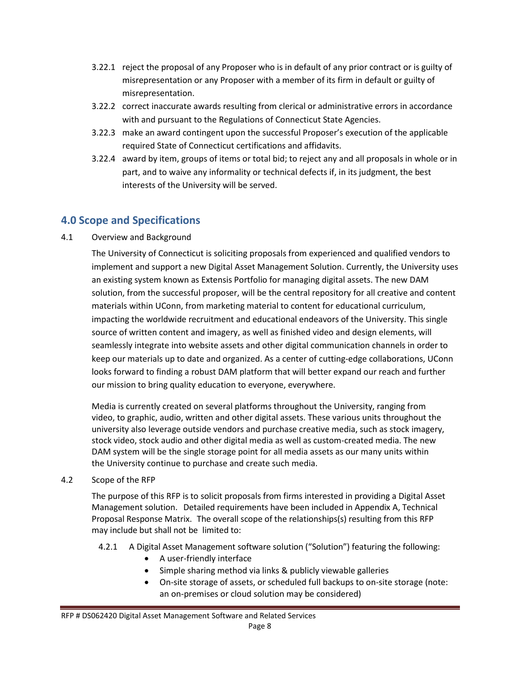- 3.22.1 reject the proposal of any Proposer who is in default of any prior contract or is guilty of misrepresentation or any Proposer with a member of its firm in default or guilty of misrepresentation.
- 3.22.2 correct inaccurate awards resulting from clerical or administrative errors in accordance with and pursuant to the Regulations of Connecticut State Agencies.
- 3.22.3 make an award contingent upon the successful Proposer's execution of the applicable required State of Connecticut certifications and affidavits.
- 3.22.4 award by item, groups of items or total bid; to reject any and all proposals in whole or in part, and to waive any informality or technical defects if, in its judgment, the best interests of the University will be served.

### **4.0 Scope and Specifications**

#### 4.1 Overview and Background

The University of Connecticut is soliciting proposals from experienced and qualified vendors to implement and support a new Digital Asset Management Solution. Currently, the University uses an existing system known as Extensis Portfolio for managing digital assets. The new DAM solution, from the successful proposer, will be the central repository for all creative and content materials within UConn, from marketing material to content for educational curriculum, impacting the worldwide recruitment and educational endeavors of the University. This single source of written content and imagery, as well as finished video and design elements, will seamlessly integrate into website assets and other digital communication channels in order to keep our materials up to date and organized. As a center of cutting-edge collaborations, UConn looks forward to finding a robust DAM platform that will better expand our reach and further our mission to bring quality education to everyone, everywhere.

Media is currently created on several platforms throughout the University, ranging from video, to graphic, audio, written and other digital assets. These various units throughout the university also leverage outside vendors and purchase creative media, such as stock imagery, stock video, stock audio and other digital media as well as custom-created media. The new DAM system will be the single storage point for all media assets as our many units within the University continue to purchase and create such media.

#### 4.2 Scope of the RFP

The purpose of this RFP is to solicit proposals from firms interested in providing a Digital Asset Management solution. Detailed requirements have been included in Appendix A, Technical Proposal Response Matrix. The overall scope of the relationships(s) resulting from this RFP may include but shall not be limited to:

- 4.2.1 A Digital Asset Management software solution ("Solution") featuring the following:
	- A user-friendly interface
	- Simple sharing method via links & publicly viewable galleries
	- On-site storage of assets, or scheduled full backups to on-site storage (note: an on-premises or cloud solution may be considered)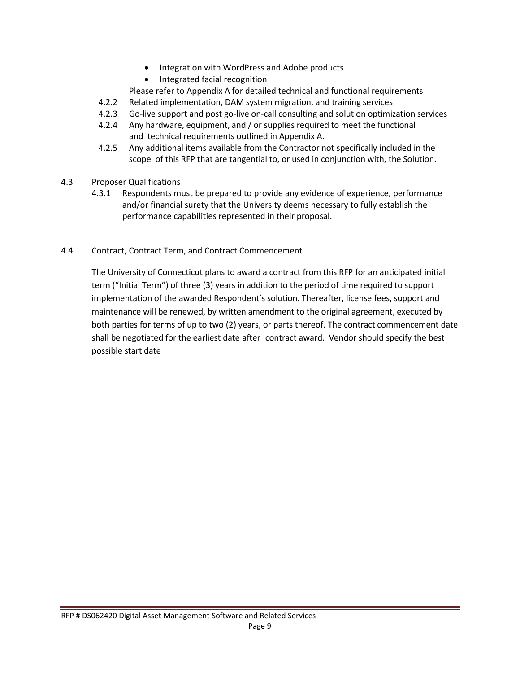- Integration with WordPress and Adobe products
- Integrated facial recognition
- Please refer to Appendix A for detailed technical and functional requirements
- 4.2.2 Related implementation, DAM system migration, and training services
- 4.2.3 Go-live support and post go-live on-call consulting and solution optimization services
- 4.2.4 Any hardware, equipment, and / or supplies required to meet the functional and technical requirements outlined in Appendix A.
- 4.2.5 Any additional items available from the Contractor not specifically included in the scope of this RFP that are tangential to, or used in conjunction with, the Solution.
- 4.3 Proposer Qualifications
	- 4.3.1 Respondents must be prepared to provide any evidence of experience, performance and/or financial surety that the University deems necessary to fully establish the performance capabilities represented in their proposal.
- 4.4 Contract, Contract Term, and Contract Commencement

The University of Connecticut plans to award a contract from this RFP for an anticipated initial term ("Initial Term") of three (3) years in addition to the period of time required to support implementation of the awarded Respondent's solution. Thereafter, license fees, support and maintenance will be renewed, by written amendment to the original agreement, executed by both parties for terms of up to two (2) years, or parts thereof. The contract commencement date shall be negotiated for the earliest date after contract award. Vendor should specify the best possible start date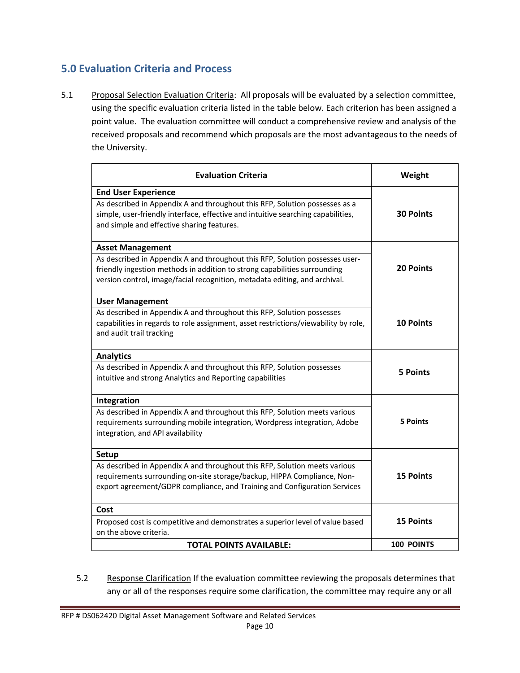### **5.0 Evaluation Criteria and Process**

5.1 Proposal Selection Evaluation Criteria: All proposals will be evaluated by a selection committee, using the specific evaluation criteria listed in the table below. Each criterion has been assigned a point value. The evaluation committee will conduct a comprehensive review and analysis of the received proposals and recommend which proposals are the most advantageous to the needs of the University.

| <b>Evaluation Criteria</b>                                                                                                                                                                                                                                         | Weight           |
|--------------------------------------------------------------------------------------------------------------------------------------------------------------------------------------------------------------------------------------------------------------------|------------------|
| <b>End User Experience</b><br>As described in Appendix A and throughout this RFP, Solution possesses as a<br>simple, user-friendly interface, effective and intuitive searching capabilities,<br>and simple and effective sharing features.                        | <b>30 Points</b> |
| <b>Asset Management</b><br>As described in Appendix A and throughout this RFP, Solution possesses user-<br>friendly ingestion methods in addition to strong capabilities surrounding<br>version control, image/facial recognition, metadata editing, and archival. | <b>20 Points</b> |
| <b>User Management</b><br>As described in Appendix A and throughout this RFP, Solution possesses<br>capabilities in regards to role assignment, asset restrictions/viewability by role,<br>and audit trail tracking                                                | <b>10 Points</b> |
| <b>Analytics</b><br>As described in Appendix A and throughout this RFP, Solution possesses<br>intuitive and strong Analytics and Reporting capabilities                                                                                                            | <b>5 Points</b>  |
| Integration<br>As described in Appendix A and throughout this RFP, Solution meets various<br>requirements surrounding mobile integration, Wordpress integration, Adobe<br>integration, and API availability                                                        | 5 Points         |
| Setup<br>As described in Appendix A and throughout this RFP, Solution meets various<br>requirements surrounding on-site storage/backup, HIPPA Compliance, Non-<br>export agreement/GDPR compliance, and Training and Configuration Services                        | <b>15 Points</b> |
| Cost<br>Proposed cost is competitive and demonstrates a superior level of value based<br>on the above criteria.                                                                                                                                                    | <b>15 Points</b> |
| <b>TOTAL POINTS AVAILABLE:</b>                                                                                                                                                                                                                                     | 100 POINTS       |

5.2 Response Clarification If the evaluation committee reviewing the proposals determines that any or all of the responses require some clarification, the committee may require any or all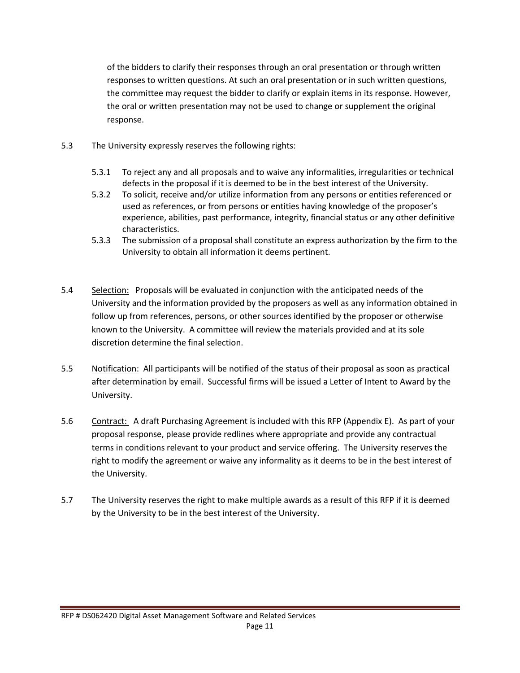of the bidders to clarify their responses through an oral presentation or through written responses to written questions. At such an oral presentation or in such written questions, the committee may request the bidder to clarify or explain items in its response. However, the oral or written presentation may not be used to change or supplement the original response.

- 5.3 The University expressly reserves the following rights:
	- 5.3.1 To reject any and all proposals and to waive any informalities, irregularities or technical defects in the proposal if it is deemed to be in the best interest of the University.
	- 5.3.2 To solicit, receive and/or utilize information from any persons or entities referenced or used as references, or from persons or entities having knowledge of the proposer's experience, abilities, past performance, integrity, financial status or any other definitive characteristics.
	- 5.3.3 The submission of a proposal shall constitute an express authorization by the firm to the University to obtain all information it deems pertinent.
- 5.4 Selection: Proposals will be evaluated in conjunction with the anticipated needs of the University and the information provided by the proposers as well as any information obtained in follow up from references, persons, or other sources identified by the proposer or otherwise known to the University. A committee will review the materials provided and at its sole discretion determine the final selection.
- 5.5 Notification: All participants will be notified of the status of their proposal as soon as practical after determination by email. Successful firms will be issued a Letter of Intent to Award by the University.
- 5.6 Contract: A draft Purchasing Agreement is included with this RFP (Appendix E). As part of your proposal response, please provide redlines where appropriate and provide any contractual terms in conditions relevant to your product and service offering. The University reserves the right to modify the agreement or waive any informality as it deems to be in the best interest of the University.
- 5.7 The University reserves the right to make multiple awards as a result of this RFP if it is deemed by the University to be in the best interest of the University.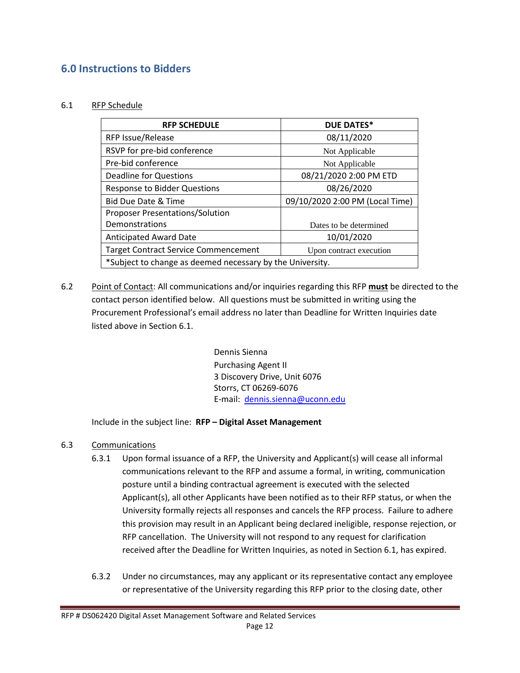### **6.0 Instructions to Bidders**

#### 6.1 RFP Schedule

| <b>RFP SCHEDULE</b>                                       | <b>DUE DATES*</b>               |  |
|-----------------------------------------------------------|---------------------------------|--|
| <b>RFP Issue/Release</b>                                  | 08/11/2020                      |  |
| RSVP for pre-bid conference                               | Not Applicable                  |  |
| Pre-bid conference                                        | Not Applicable                  |  |
| Deadline for Questions                                    | 08/21/2020 2:00 PM ETD          |  |
| <b>Response to Bidder Questions</b>                       | 08/26/2020                      |  |
| <b>Bid Due Date &amp; Time</b>                            | 09/10/2020 2:00 PM (Local Time) |  |
| <b>Proposer Presentations/Solution</b>                    |                                 |  |
| Demonstrations                                            | Dates to be determined          |  |
| <b>Anticipated Award Date</b>                             | 10/01/2020                      |  |
| <b>Target Contract Service Commencement</b>               | Upon contract execution         |  |
| *Subject to change as deemed necessary by the University. |                                 |  |

6.2 Point of Contact: All communications and/or inquiries regarding this RFP **must** be directed to the contact person identified below. All questions must be submitted in writing using the Procurement Professional's email address no later than Deadline for Written Inquiries date listed above in Section 6.1.

> Dennis Sienna Purchasing Agent II 3 Discovery Drive, Unit 6076 Storrs, CT 06269-6076 E-mail: [dennis.sienna@uconn.edu](mailto:dennis.sienna@uconn.edu)

Include in the subject line: **RFP – Digital Asset Management** 

- 6.3 Communications
	- 6.3.1 Upon formal issuance of a RFP, the University and Applicant(s) will cease all informal communications relevant to the RFP and assume a formal, in writing, communication posture until a binding contractual agreement is executed with the selected Applicant(s), all other Applicants have been notified as to their RFP status, or when the University formally rejects all responses and cancels the RFP process. Failure to adhere this provision may result in an Applicant being declared ineligible, response rejection, or RFP cancellation. The University will not respond to any request for clarification received after the Deadline for Written Inquiries, as noted in Section 6.1, has expired.
	- 6.3.2 Under no circumstances, may any applicant or its representative contact any employee or representative of the University regarding this RFP prior to the closing date, other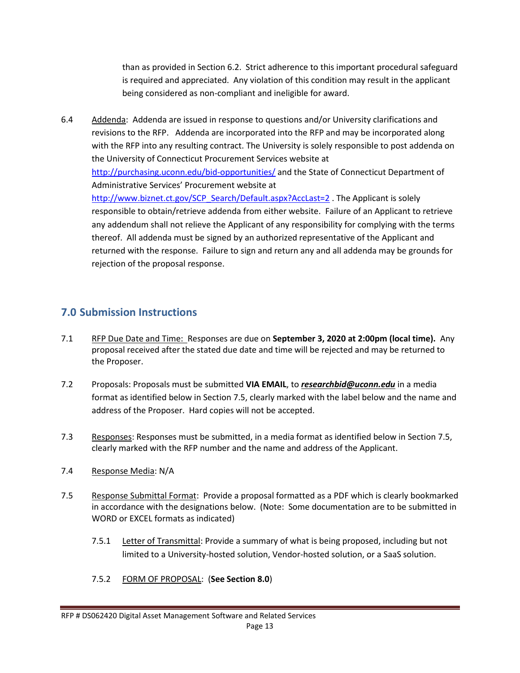than as provided in Section 6.2. Strict adherence to this important procedural safeguard is required and appreciated. Any violation of this condition may result in the applicant being considered as non-compliant and ineligible for award.

6.4 Addenda: Addenda are issued in response to questions and/or University clarifications and revisions to the RFP. Addenda are incorporated into the RFP and may be incorporated along with the RFP into any resulting contract. The University is solely responsible to post addenda on the University of Connecticut Procurement Services website at <http://purchasing.uconn.edu/bid-opportunities/> and the State of Connecticut Department of Administrative Services' Procurement website at [http://www.biznet.ct.gov/SCP\\_Search/Default.aspx?AccLast=2](http://www.biznet.ct.gov/SCP_Search/Default.aspx?AccLast=2) . The Applicant is solely responsible to obtain/retrieve addenda from either website. Failure of an Applicant to retrieve any addendum shall not relieve the Applicant of any responsibility for complying with the terms thereof. All addenda must be signed by an authorized representative of the Applicant and returned with the response. Failure to sign and return any and all addenda may be grounds for rejection of the proposal response.

#### **7.0 Submission Instructions**

- 7.1 RFP Due Date and Time: Responses are due on **September 3, 2020 at 2:00pm (local time).** Any proposal received after the stated due date and time will be rejected and may be returned to the Proposer.
- 7.2 Proposals: Proposals must be submitted **VIA EMAIL**, to *researchbid@uconn.edu* in a media format as identified below in Section 7.5, clearly marked with the label below and the name and address of the Proposer. Hard copies will not be accepted.
- 7.3 Responses: Responses must be submitted, in a media format as identified below in Section 7.5, clearly marked with the RFP number and the name and address of the Applicant.
- 7.4 Response Media: N/A
- 7.5 Response Submittal Format: Provide a proposal formatted as a PDF which is clearly bookmarked in accordance with the designations below. (Note: Some documentation are to be submitted in WORD or EXCEL formats as indicated)
	- 7.5.1 Letter of Transmittal: Provide a summary of what is being proposed, including but not limited to a University-hosted solution, Vendor-hosted solution, or a SaaS solution.
	- 7.5.2 FORM OF PROPOSAL: (**See Section 8.0**)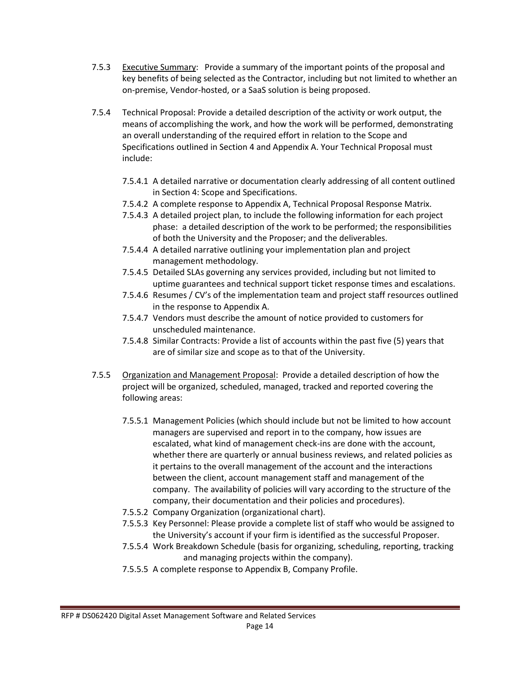- 7.5.3 Executive Summary: Provide a summary of the important points of the proposal and key benefits of being selected as the Contractor, including but not limited to whether an on-premise, Vendor-hosted, or a SaaS solution is being proposed.
- 7.5.4 Technical Proposal: Provide a detailed description of the activity or work output, the means of accomplishing the work, and how the work will be performed, demonstrating an overall understanding of the required effort in relation to the Scope and Specifications outlined in Section 4 and Appendix A. Your Technical Proposal must include:
	- 7.5.4.1 A detailed narrative or documentation clearly addressing of all content outlined in Section 4: Scope and Specifications.
	- 7.5.4.2 A complete response to Appendix A, Technical Proposal Response Matrix.
	- 7.5.4.3 A detailed project plan, to include the following information for each project phase: a detailed description of the work to be performed; the responsibilities of both the University and the Proposer; and the deliverables.
	- 7.5.4.4 A detailed narrative outlining your implementation plan and project management methodology.
	- 7.5.4.5 Detailed SLAs governing any services provided, including but not limited to uptime guarantees and technical support ticket response times and escalations.
	- 7.5.4.6 Resumes / CV's of the implementation team and project staff resources outlined in the response to Appendix A.
	- 7.5.4.7 Vendors must describe the amount of notice provided to customers for unscheduled maintenance.
	- 7.5.4.8 Similar Contracts: Provide a list of accounts within the past five (5) years that are of similar size and scope as to that of the University.
- 7.5.5 Organization and Management Proposal: Provide a detailed description of how the project will be organized, scheduled, managed, tracked and reported covering the following areas:
	- 7.5.5.1 Management Policies (which should include but not be limited to how account managers are supervised and report in to the company, how issues are escalated, what kind of management check-ins are done with the account, whether there are quarterly or annual business reviews, and related policies as it pertains to the overall management of the account and the interactions between the client, account management staff and management of the company. The availability of policies will vary according to the structure of the company, their documentation and their policies and procedures).
	- 7.5.5.2 Company Organization (organizational chart).
	- 7.5.5.3 Key Personnel: Please provide a complete list of staff who would be assigned to the University's account if your firm is identified as the successful Proposer.
	- 7.5.5.4 Work Breakdown Schedule (basis for organizing, scheduling, reporting, tracking and managing projects within the company).
	- 7.5.5.5 A complete response to Appendix B, Company Profile.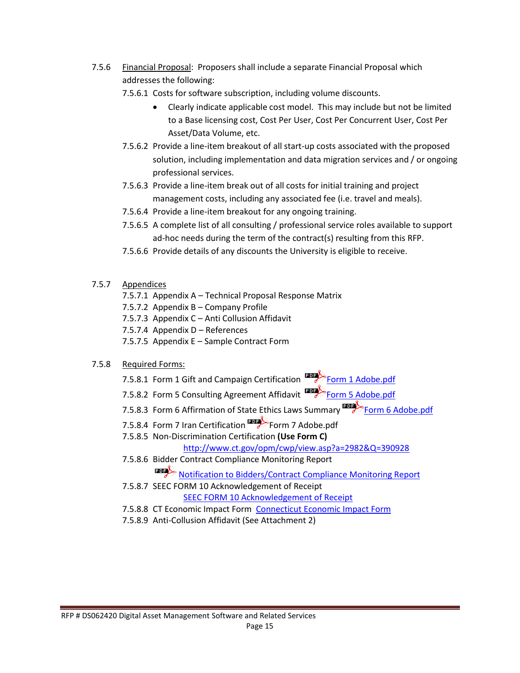- 7.5.6 Financial Proposal: Proposers shall include a separate Financial Proposal which addresses the following:
	- 7.5.6.1 Costs for software subscription, including volume discounts.
		- Clearly indicate applicable cost model. This may include but not be limited to a Base licensing cost, Cost Per User, Cost Per Concurrent User, Cost Per Asset/Data Volume, etc.
	- 7.5.6.2 Provide a line-item breakout of all start-up costs associated with the proposed solution, including implementation and data migration services and / or ongoing professional services.
	- 7.5.6.3 Provide a line-item break out of all costs for initial training and project management costs, including any associated fee (i.e. travel and meals).
	- 7.5.6.4 Provide a line-item breakout for any ongoing training.
	- 7.5.6.5 A complete list of all consulting / professional service roles available to support ad-hoc needs during the term of the contract(s) resulting from this RFP.
	- 7.5.6.6 Provide details of any discounts the University is eligible to receive.
- 7.5.7 Appendices
	- 7.5.7.1 Appendix A Technical Proposal Response Matrix
	- 7.5.7.2 Appendix B Company Profile
	- 7.5.7.3 Appendix C Anti Collusion Affidavit
	- 7.5.7.4 Appendix D References
	- 7.5.7.5 Appendix E Sample Contract Form

#### 7.5.8 Required Forms:

- 7.5.8.1 Form 1 Gift and Campaign Certification **[Form 1 Adobe.pdf](http://www.ct.gov/opm/lib/opm/OPM_Form_1_Gift_and_Campaign_Contribution_Certification_3-28-14.pdf)**
- 7.5.8.2 Form 5 Consulting Agreement Affidavit **Form 5 Adobe.pdf**
- 7.5.8.3 Form 6 Affirmation of State Ethics Laws Summary **[Form 6 Adobe.pdf](https://portal.ct.gov/-/media/OPM/Finance/psa/OPMEthicsForm6Final91511PDFpdf.pdf?la=en)**
- 7.5.8.4 Form 7 Iran Certification **Form 7 Adobe.pdf**
- 7.5.8.5 Non-Discrimination Certification **(Use Form C)**
	- <http://www.ct.gov/opm/cwp/view.asp?a=2982&Q=390928>
- 7.5.8.6 Bidder Contract Compliance Monitoring Report [Notification to Bidders/Contract Compliance Monitoring Report](http://www.ct.gov/chro/lib/chro/pdf/notificationtobidders.pdf)
- 7.5.8.7 SEEC FORM 10 Acknowledgement of Receipt [SEEC FORM 10 Acknowledgement of Receipt](http://www.ct.gov/seec/lib/seec/forms/contractor_reporting_/seec_form_10_final.pdf)
- 7.5.8.8 CT Economic Impact Form [Connecticut Economic Impact Form](http://www.biznet.ct.gov/SCP_Documents/Groups/1/Connecticut%20Economic%20Impact%20Form%20(DAS-46).pdf)
- 7.5.8.9 Anti-Collusion Affidavit (See Attachment 2)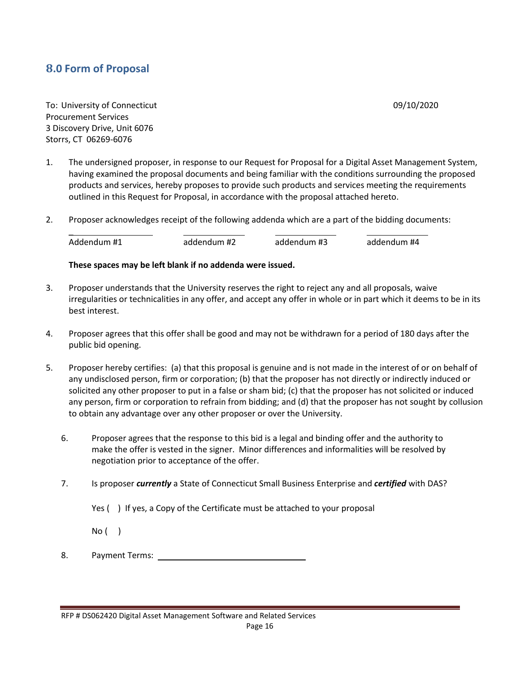### **8.0 Form of Proposal**

To: University of Connecticut **1999** Connecticut **1999** Connecticut **1999** Connecticut **1999** Connecticut **1999** Connecticut **1999** Connecticut **1999** Connecticut **1999** Connecticut **1999** Connecticut **1999** Connecticut **1** Procurement Services 3 Discovery Drive, Unit 6076 Storrs, CT 06269-6076

- 1. The undersigned proposer, in response to our Request for Proposal for a Digital Asset Management System, having examined the proposal documents and being familiar with the conditions surrounding the proposed products and services, hereby proposes to provide such products and services meeting the requirements outlined in this Request for Proposal, in accordance with the proposal attached hereto.
- 2. Proposer acknowledges receipt of the following addenda which are a part of the bidding documents:

 $\overline{\phantom{0}}$ Addendum #1 addendum #2 addendum #3 addendum #4

#### **These spaces may be left blank if no addenda were issued.**

- 3. Proposer understands that the University reserves the right to reject any and all proposals, waive irregularities or technicalities in any offer, and accept any offer in whole or in part which it deems to be in its best interest.
- 4. Proposer agrees that this offer shall be good and may not be withdrawn for a period of 180 days after the public bid opening.
- 5. Proposer hereby certifies: (a) that this proposal is genuine and is not made in the interest of or on behalf of any undisclosed person, firm or corporation; (b) that the proposer has not directly or indirectly induced or solicited any other proposer to put in a false or sham bid; (c) that the proposer has not solicited or induced any person, firm or corporation to refrain from bidding; and (d) that the proposer has not sought by collusion to obtain any advantage over any other proposer or over the University.
	- 6. Proposer agrees that the response to this bid is a legal and binding offer and the authority to make the offer is vested in the signer. Minor differences and informalities will be resolved by negotiation prior to acceptance of the offer.
	- 7. Is proposer *currently* a State of Connecticut Small Business Enterprise and *certified* with DAS?
		- Yes ( ) If yes, a Copy of the Certificate must be attached to your proposal

No ( )

8. Payment Terms: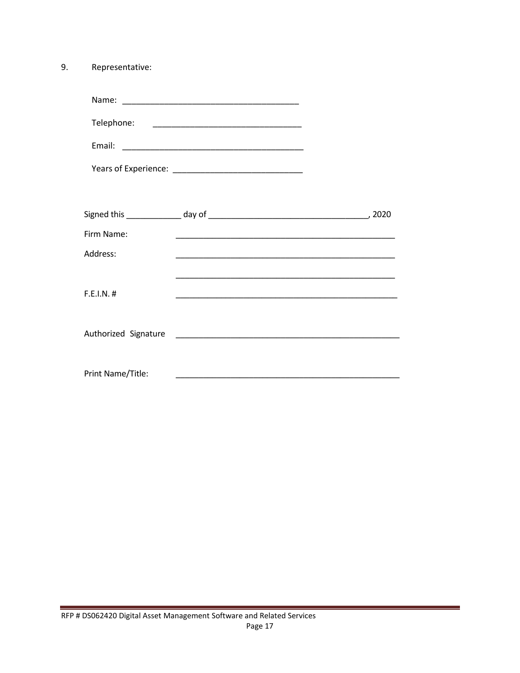9. Representative:

| Name <sup>.</sup><br>110111C. |
|-------------------------------|
|-------------------------------|

| Telephone: |
|------------|
|------------|

| - 1<br>- |  |
|----------|--|
|          |  |

| Years of Experience: |  |
|----------------------|--|
|----------------------|--|

|                      |                                                  | 2020 |
|----------------------|--------------------------------------------------|------|
| Firm Name:           |                                                  |      |
| Address:             |                                                  |      |
|                      |                                                  |      |
| F.E.I.N. #           |                                                  |      |
|                      |                                                  |      |
| Authorized Signature | <u> 1980 - Jan James James Barbara, martin d</u> |      |
|                      |                                                  |      |
| Print Name/Title:    |                                                  |      |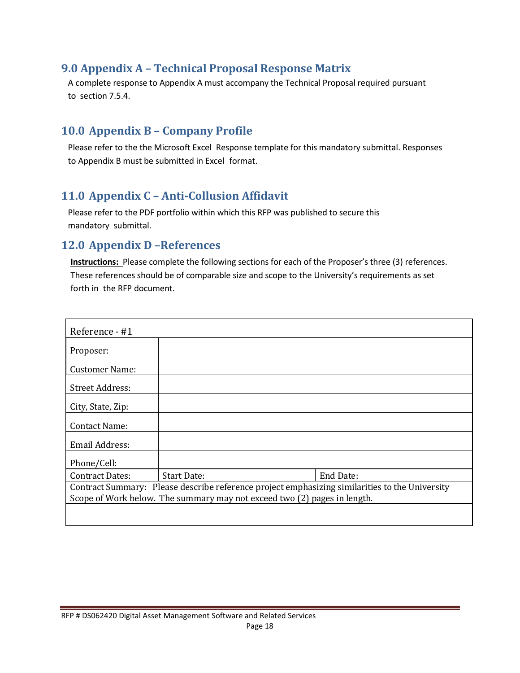### **9.0 Appendix A – Technical Proposal Response Matrix**

A complete response to Appendix A must accompany the Technical Proposal required pursuant to section 7.5.4.

### <span id="page-17-0"></span>**10.0 Appendix B – Company Profile**

Please refer to the the Microsoft Excel Response template for this mandatory submittal. Responses to Appendix B must be submitted in Excel format.

## <span id="page-17-1"></span>**11.0 Appendix C – Anti-Collusion Affidavit**

Please refer to the PDF portfolio within which this RFP was published to secure this mandatory submittal.

#### <span id="page-17-2"></span>**12.0 Appendix D –References**

**Instructions:** Please complete the following sections for each of the Proposer's three (3) references. These references should be of comparable size and scope to the University's requirements as set forth in the RFP document.

| Reference - #1                                                                                 |             |           |
|------------------------------------------------------------------------------------------------|-------------|-----------|
| Proposer:                                                                                      |             |           |
| Customer Name:                                                                                 |             |           |
| <b>Street Address:</b>                                                                         |             |           |
| City, State, Zip:                                                                              |             |           |
| Contact Name:                                                                                  |             |           |
| <b>Email Address:</b>                                                                          |             |           |
| Phone/Cell:                                                                                    |             |           |
| <b>Contract Dates:</b>                                                                         | Start Date: | End Date: |
| Contract Summary: Please describe reference project emphasizing similarities to the University |             |           |
| Scope of Work below. The summary may not exceed two (2) pages in length.                       |             |           |
|                                                                                                |             |           |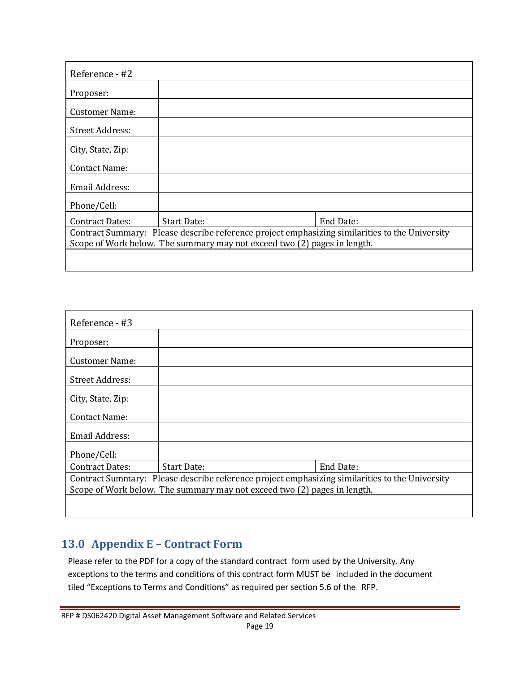| Reference - #2                                                                                                                                                             |                    |           |
|----------------------------------------------------------------------------------------------------------------------------------------------------------------------------|--------------------|-----------|
| Proposer:                                                                                                                                                                  |                    |           |
| Customer Name:                                                                                                                                                             |                    |           |
| <b>Street Address:</b>                                                                                                                                                     |                    |           |
| City, State, Zip:                                                                                                                                                          |                    |           |
| Contact Name:                                                                                                                                                              |                    |           |
| <b>Email Address:</b>                                                                                                                                                      |                    |           |
| Phone/Cell:                                                                                                                                                                |                    |           |
| <b>Contract Dates:</b>                                                                                                                                                     | <b>Start Date:</b> | End Date: |
| Contract Summary: Please describe reference project emphasizing similarities to the University<br>Scope of Work below. The summary may not exceed two (2) pages in length. |                    |           |
|                                                                                                                                                                            |                    |           |

# <span id="page-18-0"></span>**13.0 Appendix E – Contract Form**

Please refer to the PDF for a copy of the standard contract form used by the University. Any exceptions to the terms and conditions of this contract form MUST be included in the document tiled "Exceptions to Terms and Conditions" as required per section 5.6 of the RFP.